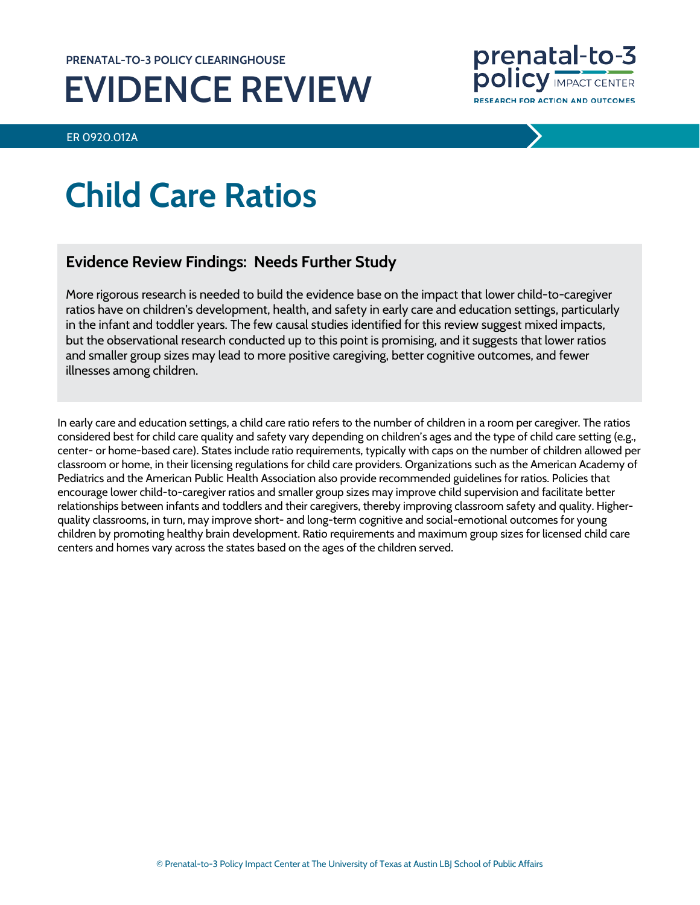## **PRENATAL-TO-3 POLICY CLEARINGHOUSE EVIDENCE REVIEW**

ER 0920.012A



# **Child Care Ratios**

## **Evidence Review Findings: Needs Further Study**

More rigorous research is needed to build the evidence base on the impact that lower child-to-caregiver ratios have on children's development, health, and safety in early care and education settings, particularly in the infant and toddler years. The few causal studies identified for this review suggest mixed impacts, but the observational research conducted up to this point is promising, and it suggests that lower ratios and smaller group sizes may lead to more positive caregiving, better cognitive outcomes, and fewer illnesses among children.

In early care and education settings, a child care ratio refers to the number of children in a room per caregiver. The ratios considered best for child care quality and safety vary depending on children's ages and the type of child care setting (e.g., center- or home-based care). States include ratio requirements, typically with caps on the number of children allowed per classroom or home, in their licensing regulations for child care providers. Organizations such as the American Academy of Pediatrics and the American Public Health Association also provide recommended guidelines for ratios. Policies that encourage lower child-to-caregiver ratios and smaller group sizes may improve child supervision and facilitate better relationships between infants and toddlers and their caregivers, thereby improving classroom safety and quality. Higherquality classrooms, in turn, may improve short- and long-term cognitive and social-emotional outcomes for young children by promoting healthy brain development. Ratio requirements and maximum group sizes for licensed child care centers and homes vary across the states based on the ages of the children served.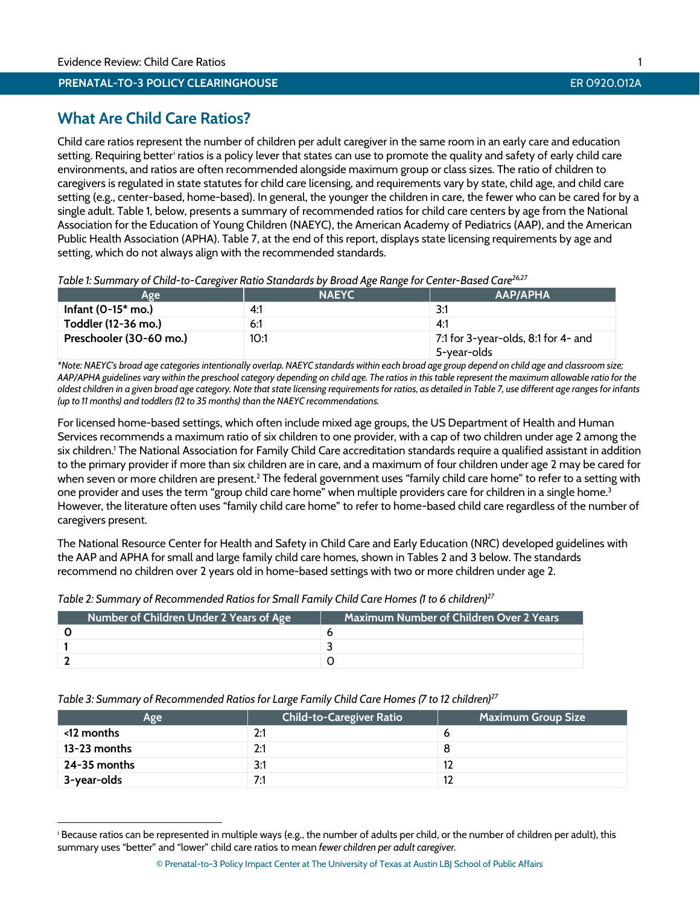### **What Are Child Care Ratios?**

Child care ratios represent the number of children per adult caregiver in the same room in an early care and education setting. Requiring better[i](#page-1-0) ratios is a policy lever that states can use to promote the quality and safety of early child care environments, and ratios are often recommended alongside maximum group or class sizes. The ratio of children to caregivers is regulated in state statutes for child care licensing, and requirements vary by state, child age, and child care setting (e.g., center-based, home-based). In general, the younger the children in care, the fewer who can be cared for by a single adult. Table 1, below, presents a summary of recommended ratios for child care centers by age from the National Association for the Education of Young Children (NAEYC), the American Academy of Pediatrics (AAP), and the American Public Health Association (APHA). Table 7, at the end of this report, displays state licensing requirements by age and setting, which do not always align with the recommended standards.

*Table 1: Summary of Child-to-Caregiver Ratio Standards by Broad Age Range for Center-Based Car[e26,](#page-10-0)[27](#page-10-1)*

| <b>NAEYC</b> | AAP/APHA                                           |
|--------------|----------------------------------------------------|
| 4:1          | 3:1                                                |
| 6:1          | 4:1                                                |
| 10:1         | 7:1 for 3-year-olds, 8:1 for 4- and<br>5-year-olds |
|              |                                                    |

*\*Note: NAEYC's broad age categories intentionally overlap. NAEYC standards within each broad age group depend on child age and classroom size; AAP/APHA guidelines vary within the preschool category depending on child age. The ratios in this table represent the maximum allowable ratio for the oldest children in a given broad age category. Note that state licensing requirements for ratios, as detailed in Table 7, use different age ranges for infants (up to 11 months) and toddlers (12 to 35 months) than the NAEYC recommendations.*

For licensed home-based settings, which often include mixed age groups, the US Department of Health and Human Services recommends a maximum ratio of six children to one provider, with a cap of two children under age 2 among the six childre[n.1](#page-9-0) The National Association for Family Child Care accreditation standards require a qualified assistant in addition to the primary provider if more than six children are in care, and a maximum of four children under age 2 may be cared for when seven or more children are present.<sup>2</sup> The federal government uses "family child care home" to refer to a setting with one provider and uses the term "group child care home" when multiple providers care for children in a single home.<sup>3</sup> However, the literature often uses "family child care home" to refer to home-based child care regardless of the number of caregivers present.

The National Resource Center for Health and Safety in Child Care and Early Education (NRC) developed guidelines with the AAP and APHA for small and large family child care homes, shown in Tables 2 and 3 below. The standards recommend no children over 2 years old in home-based settings with two or more children under age 2.

*Table 2: Summary of Recommended Ratios for Small Family Child Care Homes (1 to 6 children[\)27](#page-10-1)*

| Number of Children Under 2 Years of Age | <b>Maximum Number of Children Over 2 Years</b> |
|-----------------------------------------|------------------------------------------------|
|                                         |                                                |
|                                         |                                                |
|                                         |                                                |

*Table 3: Summary of Recommended Ratios for Large Family Child Care Homes (7 to 12 children[\)27](#page-10-1)*

| Age          | <b>Child-to-Caregiver Ratio</b> | <b>Maximum Group Size</b> |
|--------------|---------------------------------|---------------------------|
| <12 months   | 2:1                             |                           |
| 13-23 months | 2:1                             |                           |
| 24-35 months | 3:1                             |                           |
| 3-year-olds  | 7:1                             |                           |

<span id="page-1-0"></span><sup>&</sup>lt;sup>i</sup> Because ratios can be represented in multiple ways (e.g., the number of adults per child, or the number of children per adult), this summary uses "better" and "lower" child care ratios to mean *fewer children per adult caregiver.*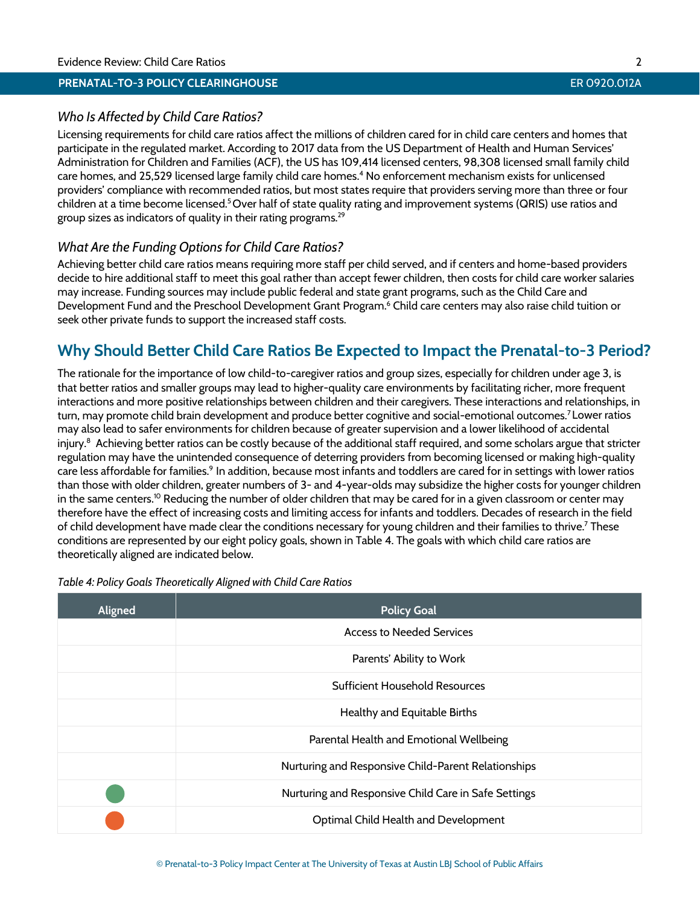### *Who Is Affected by Child Care Ratios?*

Licensing requirements for child care ratios affect the millions of children cared for in child care centers and homes that participate in the regulated market. According to 2017 data from the US Department of Health and Human Services' Administration for Children and Families (ACF), the US has 109,414 licensed centers, 98,308 licensed small family child care homes, and 25,529 licensed large family child care home[s.4](#page-9-3) No enforcement mechanism exists for unlicensed providers' compliance with recommended ratios, but most states require that providers serving more than three or four children at a time become licensed.<sup>5</sup>Over half of state quality rating and improvement systems (QRIS) use ratios and group sizes as indicators of quality in their rating program[s.29](#page-10-2)

### *What Are the Funding Options for Child Care Ratios?*

Achieving better child care ratios means requiring more staff per child served, and if centers and home-based providers decide to hire additional staff to meet this goal rather than accept fewer children, then costs for child care worker salaries may increase. Funding sources may include public federal and state grant programs, such as the Child Care and Development Fund and the Preschool Development Grant Program.<sup>6</sup> Child care centers may also raise child tuition or seek other private funds to support the increased staff costs.

### **Why Should Better Child Care Ratios Be Expected to Impact the Prenatal-to-3 Period?**

The rationale for the importance of low child-to-caregiver ratios and group sizes, especially for children under age 3, is that better ratios and smaller groups may lead to higher-quality care environments by facilitating richer, more frequent interactions and more positive relationships between children and their caregivers. These interactions and relationships, in turn, may promote child brain development and produce better cognitive and social-emotional outcome[s.](#page-9-6) <sup>7</sup> Lower ratios may also lead to safer environments for children because of greater supervision and a lower likelihood of accidental injury.<sup>8</sup> Achieving better ratios can be costly because of the additional staff required, and some scholars argue that stricter regulation may have the unintended consequence of deterring providers from becoming licensed or making high-quality care less affordable for families.<sup>9</sup> In addition, because most infants and toddlers are cared for in settings with lower ratios than those with older children, greater numbers of 3- and 4-year-olds may subsidize the higher costs for younger children in the same centers.<sup>10</sup> Reducing the number of older children that may be cared for in a given classroom or center may therefore have the effect of increasing costs and limiting access for infants and toddlers. Decades of research in the field of child development have made clear the conditions necessary for young children and their families to thriv[e.7](#page-9-6) These conditions are represented by our eight policy goals, shown in Table 4. The goals with which child care ratios are theoretically aligned are indicated below.

| Aligned | <b>Policy Goal</b>                                   |
|---------|------------------------------------------------------|
|         | Access to Needed Services                            |
|         | Parents' Ability to Work                             |
|         | <b>Sufficient Household Resources</b>                |
|         | Healthy and Equitable Births                         |
|         | Parental Health and Emotional Wellbeing              |
|         | Nurturing and Responsive Child-Parent Relationships  |
|         | Nurturing and Responsive Child Care in Safe Settings |
|         | Optimal Child Health and Development                 |

*Table 4: Policy Goals Theoretically Aligned with Child Care Ratios*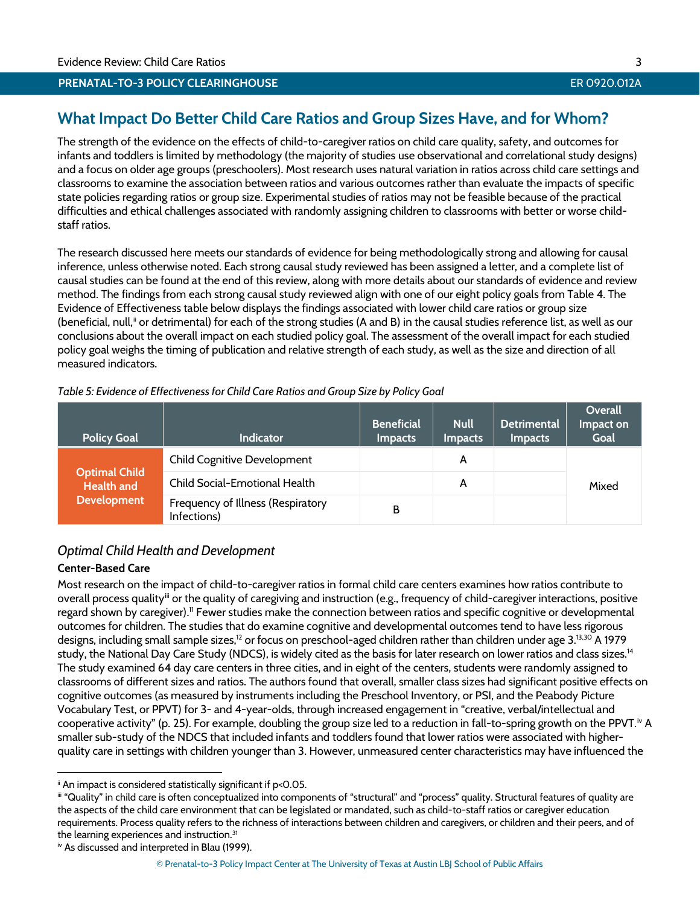### **What Impact Do Better Child Care Ratios and Group Sizes Have, and for Whom?**

The strength of the evidence on the effects of child-to-caregiver ratios on child care quality, safety, and outcomes for infants and toddlers is limited by methodology (the majority of studies use observational and correlational study designs) and a focus on older age groups (preschoolers). Most research uses natural variation in ratios across child care settings and classrooms to examine the association between ratios and various outcomes rather than evaluate the impacts of specific state policies regarding ratios or group size. Experimental studies of ratios may not be feasible because of the practical difficulties and ethical challenges associated with randomly assigning children to classrooms with better or worse childstaff ratios.

The research discussed here meets our standards of evidence for being methodologically strong and allowing for causal inference, unless otherwise noted. Each strong causal study reviewed has been assigned a letter, and a complete list of causal studies can be found at the end of this review, along with more details about our standards of evidence and review method. The findings from each strong causal study reviewed align with one of our eight policy goals from Table 4. The Evidence of Effectiveness table below displays the findings associated with lower child care ratios or group size (beneficial, null,<sup>[ii](#page-3-0)</sup> or detrimental) for each of the strong studies (A and B) in the causal studies reference list, as well as our conclusions about the overall impact on each studied policy goal. The assessment of the overall impact for each studied policy goal weighs the timing of publication and relative strength of each study, as well as the size and direction of all measured indicators.

| <b>Policy Goal</b>                        | Indicator                                        | <b>Beneficial</b><br><b>Impacts</b> | <b>Null</b><br><b>Impacts</b> | Detrimental<br><i>Impacts</i> | Overall<br>Impact on<br>Goal |  |
|-------------------------------------------|--------------------------------------------------|-------------------------------------|-------------------------------|-------------------------------|------------------------------|--|
|                                           | Child Cognitive Development                      |                                     | А                             |                               | Mixed                        |  |
| <b>Optimal Child</b><br><b>Health and</b> | Child Social-Emotional Health                    |                                     | A                             |                               |                              |  |
| <b>Development</b>                        | Frequency of Illness (Respiratory<br>Infections) | B                                   |                               |                               |                              |  |

### *Optimal Child Health and Development*

### **Center-Based Care**

Most research on the impact of child-to-caregiver ratios in formal child care centers examines how ratios contribute to overall process quality<sup>ii</sup> or the quality of caregiving and instruction (e.g., frequency of child-caregiver interactions, positive regard shown by caregiver).<sup>11</sup> Fewer studies make the connection between ratios and specific cognitive or developmental outcomes for children. The studies that do examine cognitive and developmental outcomes tend to have less rigorous designs, including small sample sizes,<sup>12</sup> or focus on preschool-aged children rather than children under age 3.<sup>13,[30](#page-10-5)</sup> A 1979 study, the National Day Care Study (NDCS), is widely cited as the basis for later research on lower ratios and class sizes.<sup>14</sup> The study examined 64 day care centers in three cities, and in eight of the centers, students were randomly assigned to classrooms of different sizes and ratios. The authors found that overall, smaller class sizes had significant positive effects on cognitive outcomes (as measured by instruments including the Preschool Inventory, or PSI, and the Peabody Picture Vocabulary Test, or PPVT) for 3- and 4-year-olds, through increased engagement in "creative, verbal/intellectual and cooperat[iv](#page-3-2)e activity" (p. 25). For example, doubling the group size led to a reduction in fall-to-spring growth on the PPVT.<sup>iv</sup> A smaller sub-study of the NDCS that included infants and toddlers found that lower ratios were associated with higherquality care in settings with children younger than 3. However, unmeasured center characteristics may have influenced the

<span id="page-3-1"></span>iii "Quality" in child care is often conceptualized into components of "structural" and "process" quality. Structural features of quality are the aspects of the child care environment that can be legislated or mandated, such as child-to-staff ratios or caregiver education requirements. Process quality refers to the richness of interactions between children and caregivers, or children and their peers, and of the learning experiences and instruction.<sup>31</sup>

<span id="page-3-0"></span><sup>&</sup>lt;sup>ii</sup> An impact is considered statistically significant if p<0.05.

<span id="page-3-2"></span>iv As discussed and interpreted in Blau (1999).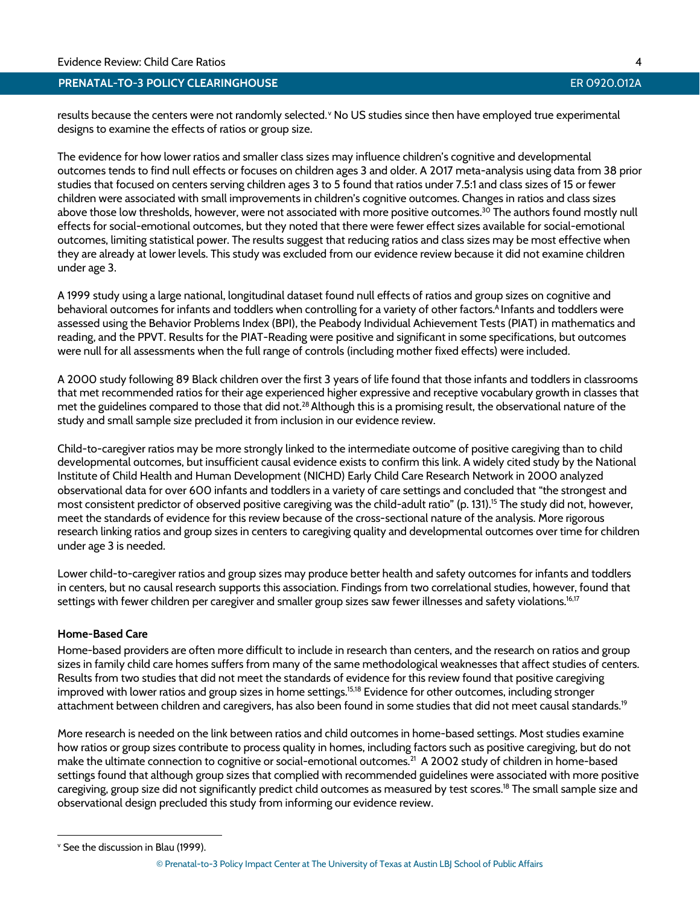results because the centers were not randomly selected.<sup>[v](#page-4-0)</sup> No US studies since then have employed true experimental designs to examine the effects of ratios or group size.

The evidence for how lower ratios and smaller class sizes may influence children's cognitive and developmental outcomes tends to find null effects or focuses on children ages 3 and older. A 2017 meta-analysis using data from 38 prior studies that focused on centers serving children ages 3 to 5 found that ratios under 7.5:1 and class sizes of 15 or fewer children were associated with small improvements in children's cognitive outcomes. Changes in ratios and class sizes above those low thresholds, however, were not associated with more positive outcomes.<sup>30</sup> The authors found mostly null effects for social-emotional outcomes, but they noted that there were fewer effect sizes available for social-emotional outcomes, limiting statistical power. The results suggest that reducing ratios and class sizes may be most effective when they are already at lower levels. This study was excluded from our evidence review because it did not examine children under age 3.

A 1999 study using a large national, longitudinal dataset found null effects of ratios and group sizes on cognitive and behavioral outcomes for infants and toddlers when controlling for a variety of other factors.<sup>A</sup> Infants and toddlers were assessed using the Behavior Problems Index (BPI), the Peabody Individual Achievement Tests (PIAT) in mathematics and reading, and the PPVT. Results for the PIAT-Reading were positive and significant in some specifications, but outcomes were null for all assessments when the full range of controls (including mother fixed effects) were included.

A 2000 study following 89 Black children over the first 3 years of life found that those infants and toddlers in classrooms that met recommended ratios for their age experienced higher expressive and receptive vocabulary growth in classes that met the guidelines compared to those that did not.<sup>28</sup> Although this is a promising result, the observational nature of the study and small sample size precluded it from inclusion in our evidence review.

Child-to-caregiver ratios may be more strongly linked to the intermediate outcome of positive caregiving than to child developmental outcomes, but insufficient causal evidence exists to confirm this link. A widely cited study by the National Institute of Child Health and Human Development (NICHD) Early Child Care Research Network in 2000 analyzed observational data for over 600 infants and toddlers in a variety of care settings and concluded that "the strongest and most consistent predictor of observed positive caregiving was the child-adult ratio" (p. 131).<sup>15</sup> The study did not, however, meet the standards of evidence for this review because of the cross-sectional nature of the analysis. More rigorous research linking ratios and group sizes in centers to caregiving quality and developmental outcomes over time for children under age 3 is needed.

Lower child-to-caregiver ratios and group sizes may produce better health and safety outcomes for infants and toddlers in centers, but no causal research supports this association. Findings from two correlational studies, however, found that settings with fewer children per caregiver and smaller group sizes saw fewer illnesses and safety violations.<sup>16,[17](#page-10-11)</sup>

#### **Home-Based Care**

Home-based providers are often more difficult to include in research than centers, and the research on ratios and group sizes in family child care homes suffers from many of the same methodological weaknesses that affect studies of centers. Results from two studies that did not meet the standards of evidence for this review found that positive caregiving improved with lower ratios and group sizes in home settings.<sup>15,[18](#page-10-12)</sup> Evidence for other outcomes, including stronger attachment between children and caregivers, has also been found in some studies that did not meet causal standards.<sup>19</sup>

More research is needed on the link between ratios and child outcomes in home-based settings. Most studies examine how ratios or group sizes contribute to process quality in homes, including factors such as positive caregiving, but do not make the ultimate connection to cognitive or social-emotional outcomes[.21](#page-10-14) A 2002 study of children in home-based settings found that although group sizes that complied with recommended guidelines were associated with more positive caregiving, group size did not significantly predict child outcomes as measured by test score[s.18](#page-10-12) The small sample size and observational design precluded this study from informing our evidence review.

<span id="page-4-0"></span>v See the discussion in Blau (1999).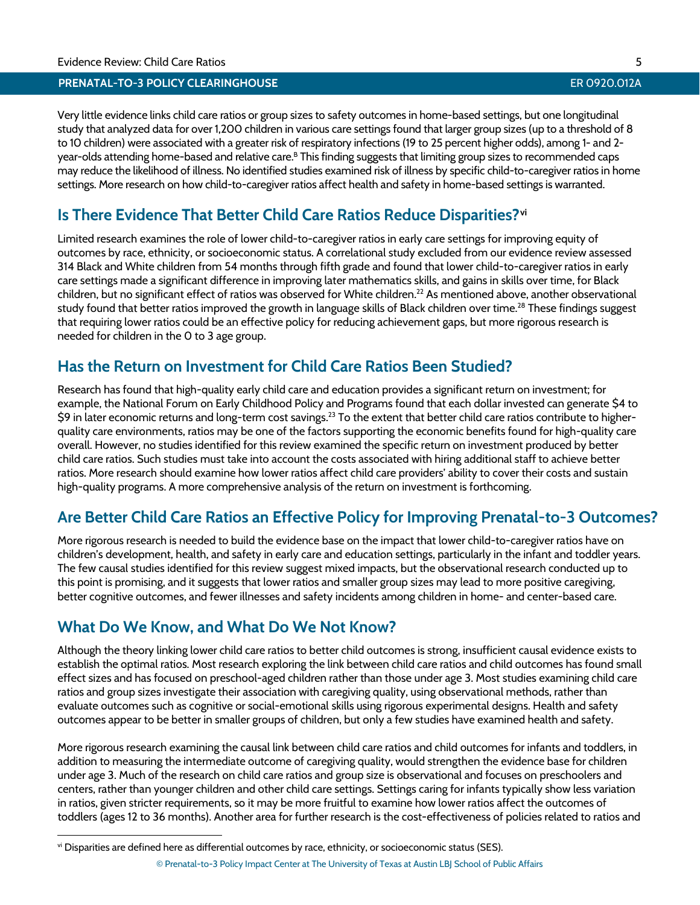Very little evidence links child care ratios or group sizes to safety outcomes in home-based settings, but one longitudinal study that analyzed data for over 1,200 children in various care settings found that larger group sizes (up to a threshold of 8 to 10 children) were associated with a greater risk of respiratory infections (19 to 25 percent higher odds), among 1- and 2- year-olds attending home-based and relative care.<sup>[B](#page-9-12)</sup> This finding suggests that limiting group sizes to recommended caps may reduce the likelihood of illness. No identified studies examined risk of illness by specific child-to-caregiver ratios in home settings. More research on how child-to-caregiver ratios affect health and safety in home-based settings is warranted.

### **Is There Evidence That Better Child Care Ratios Reduce Disparities?[vi](#page-5-0)**

Limited research examines the role of lower child-to-caregiver ratios in early care settings for improving equity of outcomes by race, ethnicity, or socioeconomic status. A correlational study excluded from our evidence review assessed 314 Black and White children from 54 months through fifth grade and found that lower child-to-caregiver ratios in early care settings made a significant difference in improving later mathematics skills, and gains in skills over time, for Black children, but no significant effect of ratios was observed for White children.<sup>22</sup> As mentioned above, another observational study found that better ratios improved the growth in language skills of Black children over time.<sup>28</sup> These findings suggest that requiring lower ratios could be an effective policy for reducing achievement gaps, but more rigorous research is needed for children in the 0 to 3 age group.

### **Has the Return on Investment for Child Care Ratios Been Studied?**

Research has found that high-quality early child care and education provides a significant return on investment; for example, the National Forum on Early Childhood Policy and Programs found that each dollar invested can generate \$4 to \$9 in later economic returns and long-term cost savings.<sup>23</sup> To the extent that better child care ratios contribute to higherquality care environments, ratios may be one of the factors supporting the economic benefits found for high-quality care overall. However, no studies identified for this review examined the specific return on investment produced by better child care ratios. Such studies must take into account the costs associated with hiring additional staff to achieve better ratios. More research should examine how lower ratios affect child care providers' ability to cover their costs and sustain high-quality programs. A more comprehensive analysis of the return on investment is forthcoming.

### **Are Better Child Care Ratios an Effective Policy for Improving Prenatal-to-3 Outcomes?**

More rigorous research is needed to build the evidence base on the impact that lower child-to-caregiver ratios have on children's development, health, and safety in early care and education settings, particularly in the infant and toddler years. The few causal studies identified for this review suggest mixed impacts, but the observational research conducted up to this point is promising, and it suggests that lower ratios and smaller group sizes may lead to more positive caregiving, better cognitive outcomes, and fewer illnesses and safety incidents among children in home- and center-based care.

### **What Do We Know, and What Do We Not Know?**

Although the theory linking lower child care ratios to better child outcomes is strong, insufficient causal evidence exists to establish the optimal ratios. Most research exploring the link between child care ratios and child outcomes has found small effect sizes and has focused on preschool-aged children rather than those under age 3. Most studies examining child care ratios and group sizes investigate their association with caregiving quality, using observational methods, rather than evaluate outcomes such as cognitive or social-emotional skills using rigorous experimental designs. Health and safety outcomes appear to be better in smaller groups of children, but only a few studies have examined health and safety.

More rigorous research examining the causal link between child care ratios and child outcomes for infants and toddlers, in addition to measuring the intermediate outcome of caregiving quality, would strengthen the evidence base for children under age 3. Much of the research on child care ratios and group size is observational and focuses on preschoolers and centers, rather than younger children and other child care settings. Settings caring for infants typically show less variation in ratios, given stricter requirements, so it may be more fruitful to examine how lower ratios affect the outcomes of toddlers (ages 12 to 36 months). Another area for further research is the cost-effectiveness of policies related to ratios and

<span id="page-5-0"></span>vi Disparities are defined here as differential outcomes by race, ethnicity, or socioeconomic status (SES).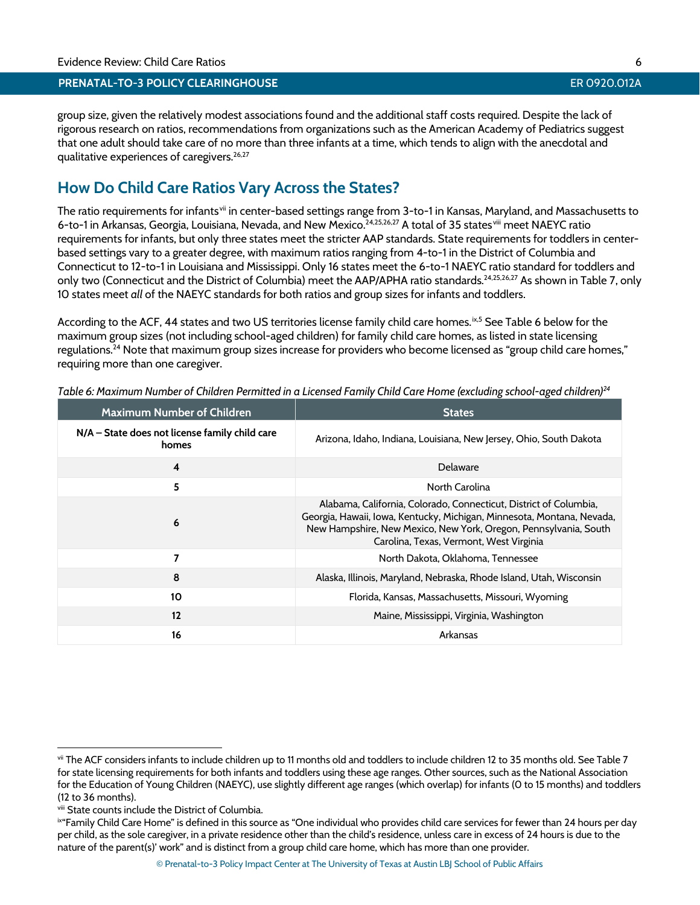group size, given the relatively modest associations found and the additional staff costs required. Despite the lack of rigorous research on ratios, recommendations from organizations such as the American Academy of Pediatrics suggest that one adult should take care of no more than three infants at a time, which tends to align with the anecdotal and qualitative experiences of caregivers.<sup>26,[27](#page-10-1)</sup>

### **How Do Child Care Ratios Vary Across the States?**

The ratio requirements for infants[vii](#page-6-0) in center-based settings range from 3-to-1 in Kansas, Maryland, and Massachusetts to 6-to-1 in Arkansas, Georgia, Louisiana, Nevada, and New Mexico.<sup>24,[25,](#page-10-18)[26,](#page-10-0)[27](#page-10-1)</sup> A total of 35 states<sup>[viii](#page-6-1)</sup> meet NAEYC ratio requirements for infants, but only three states meet the stricter AAP standards. State requirements for toddlers in centerbased settings vary to a greater degree, with maximum ratios ranging from 4-to-1 in the District of Columbia and Connecticut to 12-to-1 in Louisiana and Mississippi. Only 16 states meet the 6-to-1 NAEYC ratio standard for toddlers and only two (Connecticut and the District of Columbia) meet the AAP/APHA ratio standards.<sup>24,[25,](#page-10-18)[26,](#page-10-0)[27](#page-10-1)</sup> As shown in Table 7, only 10 states meet *all* of the NAEYC standards for both ratios and group sizes for infants and toddlers.

According to the ACF, 44 states and two US territories license family child care homes.™<sup>5</sup> See Table 6 below for the maximum group sizes (not including school-aged children) for family child care homes, as listed in state licensing regulations[.24](#page-10-17) Note that maximum group sizes increase for providers who become licensed as "group child care homes," requiring more than one caregiver.

| <b>Maximum Number of Children</b>                       | States.                                                                                                                                                                                                                                                    |
|---------------------------------------------------------|------------------------------------------------------------------------------------------------------------------------------------------------------------------------------------------------------------------------------------------------------------|
| N/A – State does not license family child care<br>homes | Arizona, Idaho, Indiana, Louisiana, New Jersey, Ohio, South Dakota                                                                                                                                                                                         |
| 4                                                       | Delaware                                                                                                                                                                                                                                                   |
| 5                                                       | North Carolina                                                                                                                                                                                                                                             |
| 6                                                       | Alabama, California, Colorado, Connecticut, District of Columbia,<br>Georgia, Hawaii, Iowa, Kentucky, Michigan, Minnesota, Montana, Nevada,<br>New Hampshire, New Mexico, New York, Oregon, Pennsylvania, South<br>Carolina, Texas, Vermont, West Virginia |
| 7                                                       | North Dakota, Oklahoma, Tennessee                                                                                                                                                                                                                          |
| 8                                                       | Alaska, Illinois, Maryland, Nebraska, Rhode Island, Utah, Wisconsin                                                                                                                                                                                        |
| 10                                                      | Florida, Kansas, Massachusetts, Missouri, Wyoming                                                                                                                                                                                                          |
| 12                                                      | Maine, Mississippi, Virginia, Washington                                                                                                                                                                                                                   |
| 16                                                      | Arkansas                                                                                                                                                                                                                                                   |

*Table 6: Maximum Number of Children Permitted in a Licensed Family Child Care Home (excluding school-aged children) [24](#page-10-17)*

<span id="page-6-0"></span>vii The ACF considers infants to include children up to 11 months old and toddlers to include children 12 to 35 months old. See Table 7 for state licensing requirements for both infants and toddlers using these age ranges. Other sources, such as the National Association for the Education of Young Children (NAEYC), use slightly different age ranges (which overlap) for infants (0 to 15 months) and toddlers (12 to 36 months).<br>viii State counts include the District of Columbia.

<span id="page-6-1"></span>

<span id="page-6-2"></span>ix"Family Child Care Home" is defined in this source as "One individual who provides child care services for fewer than 24 hours per day per child, as the sole caregiver, in a private residence other than the child's residence, unless care in excess of 24 hours is due to the nature of the parent(s)' work" and is distinct from a group child care home, which has more than one provider.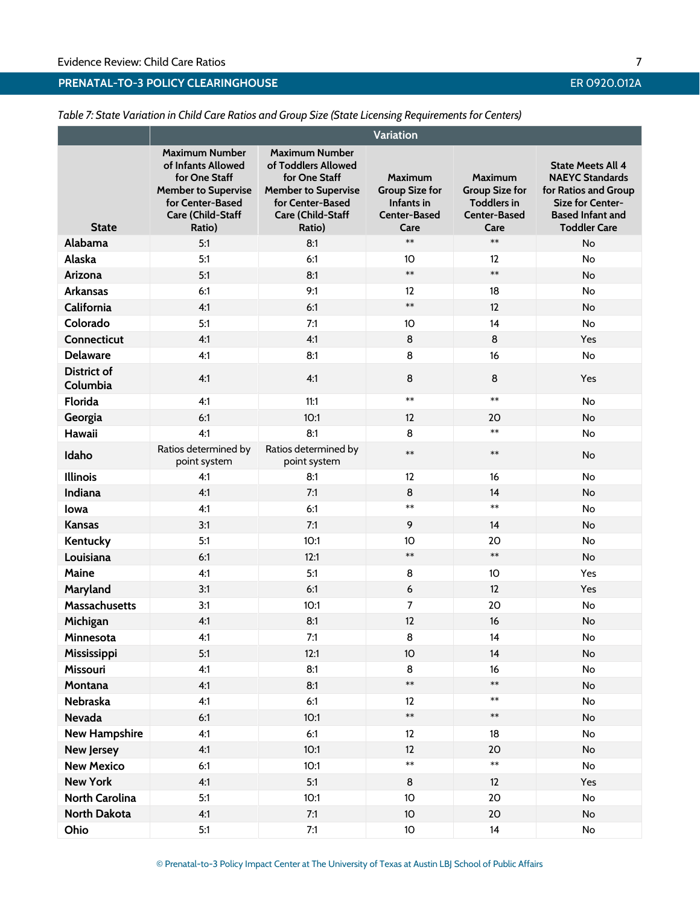*Table 7: State Variation in Child Care Ratios and Group Size (State Licensing Requirements for Centers)*

|                                | <b>Variation</b>                                                                                                                              |                                                                                                                                                |                                                                                      |                                                                                              |                                                                                                                                                  |  |
|--------------------------------|-----------------------------------------------------------------------------------------------------------------------------------------------|------------------------------------------------------------------------------------------------------------------------------------------------|--------------------------------------------------------------------------------------|----------------------------------------------------------------------------------------------|--------------------------------------------------------------------------------------------------------------------------------------------------|--|
| <b>State</b>                   | <b>Maximum Number</b><br>of Infants Allowed<br>for One Staff<br><b>Member to Supervise</b><br>for Center-Based<br>Care (Child-Staff<br>Ratio) | <b>Maximum Number</b><br>of Toddlers Allowed<br>for One Staff<br><b>Member to Supervise</b><br>for Center-Based<br>Care (Child-Staff<br>Ratio) | <b>Maximum</b><br><b>Group Size for</b><br>Infants in<br><b>Center-Based</b><br>Care | <b>Maximum</b><br><b>Group Size for</b><br><b>Toddlers in</b><br><b>Center-Based</b><br>Care | <b>State Meets All 4</b><br><b>NAEYC Standards</b><br>for Ratios and Group<br>Size for Center-<br><b>Based Infant and</b><br><b>Toddler Care</b> |  |
| Alabama                        | 5:1                                                                                                                                           | 8:1                                                                                                                                            | $**$                                                                                 | $**$                                                                                         | No                                                                                                                                               |  |
| Alaska                         | 5:1                                                                                                                                           | 6:1                                                                                                                                            | 10 <sup>2</sup>                                                                      | 12                                                                                           | No                                                                                                                                               |  |
| Arizona                        | 5:1                                                                                                                                           | 8:1                                                                                                                                            | $**$                                                                                 | $**$                                                                                         | No                                                                                                                                               |  |
| <b>Arkansas</b>                | 6:1                                                                                                                                           | 9:1                                                                                                                                            | 12                                                                                   | 18                                                                                           | No                                                                                                                                               |  |
| California                     | 4:1                                                                                                                                           | 6:1                                                                                                                                            | $\ast\ast$                                                                           | 12                                                                                           | No                                                                                                                                               |  |
| Colorado                       | 5:1                                                                                                                                           | 7:1                                                                                                                                            | 10                                                                                   | 14                                                                                           | No                                                                                                                                               |  |
| Connecticut                    | 4:1                                                                                                                                           | 4:1                                                                                                                                            | 8                                                                                    | 8                                                                                            | Yes                                                                                                                                              |  |
| <b>Delaware</b>                | 4:1                                                                                                                                           | 8:1                                                                                                                                            | 8                                                                                    | 16                                                                                           | No                                                                                                                                               |  |
| <b>District of</b><br>Columbia | 4:1                                                                                                                                           | 4:1                                                                                                                                            | 8                                                                                    | 8                                                                                            | Yes                                                                                                                                              |  |
| Florida                        | 4:1                                                                                                                                           | 11:1                                                                                                                                           | $\ast\ast$                                                                           | $**$                                                                                         | No                                                                                                                                               |  |
| Georgia                        | 6:1                                                                                                                                           | 10:1                                                                                                                                           | 12                                                                                   | 20                                                                                           | No                                                                                                                                               |  |
| Hawaii                         | 4:1                                                                                                                                           | 8:1                                                                                                                                            | 8                                                                                    | $**$                                                                                         | No                                                                                                                                               |  |
| Idaho                          | Ratios determined by<br>point system                                                                                                          | Ratios determined by<br>point system                                                                                                           | $\ast\ast$                                                                           | $**$                                                                                         | No                                                                                                                                               |  |
| Illinois                       | 4:1                                                                                                                                           | 8:1                                                                                                                                            | 12                                                                                   | 16                                                                                           | No                                                                                                                                               |  |
| Indiana                        | 4:1                                                                                                                                           | 7:1                                                                                                                                            | 8                                                                                    | 14                                                                                           | No                                                                                                                                               |  |
| lowa                           | 4:1                                                                                                                                           | 6:1                                                                                                                                            | $\ast\ast$                                                                           | $**$                                                                                         | No                                                                                                                                               |  |
| <b>Kansas</b>                  | 3:1                                                                                                                                           | 7:1                                                                                                                                            | 9                                                                                    | 14                                                                                           | No                                                                                                                                               |  |
| Kentucky                       | 5:1                                                                                                                                           | 10:1                                                                                                                                           | 10                                                                                   | 20                                                                                           | No                                                                                                                                               |  |
| Louisiana                      | 6:1                                                                                                                                           | 12:1                                                                                                                                           | $\ast\ast$                                                                           | $\ast\ast$                                                                                   | No                                                                                                                                               |  |
| Maine                          | 4:1                                                                                                                                           | 5:1                                                                                                                                            | 8                                                                                    | 10                                                                                           | Yes                                                                                                                                              |  |
| Maryland                       | 3:1                                                                                                                                           | 6:1                                                                                                                                            | 6                                                                                    | 12                                                                                           | Yes                                                                                                                                              |  |
| <b>Massachusetts</b>           | 3:1                                                                                                                                           | 10:1                                                                                                                                           | $\overline{7}$                                                                       | 20                                                                                           | No                                                                                                                                               |  |
| Michigan                       | 4:1                                                                                                                                           | 8:1                                                                                                                                            | 12                                                                                   | 16                                                                                           | No                                                                                                                                               |  |
| Minnesota                      | 4:1                                                                                                                                           | 7:1                                                                                                                                            | 8                                                                                    | 14                                                                                           | No                                                                                                                                               |  |
| Mississippi                    | 5:1                                                                                                                                           | 12:1                                                                                                                                           | 10 <sup>°</sup>                                                                      | 14                                                                                           | No                                                                                                                                               |  |
| Missouri                       | 4:1                                                                                                                                           | 8:1                                                                                                                                            | 8                                                                                    | 16                                                                                           | No                                                                                                                                               |  |
| Montana                        | 4:1                                                                                                                                           | 8:1                                                                                                                                            | $\ast\ast$                                                                           | $\ast\ast$                                                                                   | No                                                                                                                                               |  |
| Nebraska                       | 4:1                                                                                                                                           | 6:1                                                                                                                                            | 12                                                                                   | $\ast\ast$                                                                                   | No                                                                                                                                               |  |
| Nevada                         | 6:1                                                                                                                                           | 10:1                                                                                                                                           | $\ast\ast$                                                                           | $\ast\ast$                                                                                   | No                                                                                                                                               |  |
| <b>New Hampshire</b>           | 4:1                                                                                                                                           | 6:1                                                                                                                                            | 12                                                                                   | 18                                                                                           | No                                                                                                                                               |  |
| New Jersey                     | 4:1                                                                                                                                           | 10:1                                                                                                                                           | 12                                                                                   | 20                                                                                           | No                                                                                                                                               |  |
| <b>New Mexico</b>              | 6:1                                                                                                                                           | 10:1                                                                                                                                           | $\ast\ast$                                                                           | $\ast\ast$                                                                                   | No                                                                                                                                               |  |
| <b>New York</b>                | 4:1                                                                                                                                           | 5:1                                                                                                                                            | 8                                                                                    | 12                                                                                           | Yes                                                                                                                                              |  |
| North Carolina                 | 5:1                                                                                                                                           | 10:1                                                                                                                                           | 10                                                                                   | 20                                                                                           | No                                                                                                                                               |  |
| North Dakota                   | 4:1                                                                                                                                           | 7:1                                                                                                                                            | 10                                                                                   | 20                                                                                           | No                                                                                                                                               |  |
| Ohio                           | 5:1                                                                                                                                           | 7:1                                                                                                                                            | 10 <sup>°</sup>                                                                      | 14                                                                                           | No                                                                                                                                               |  |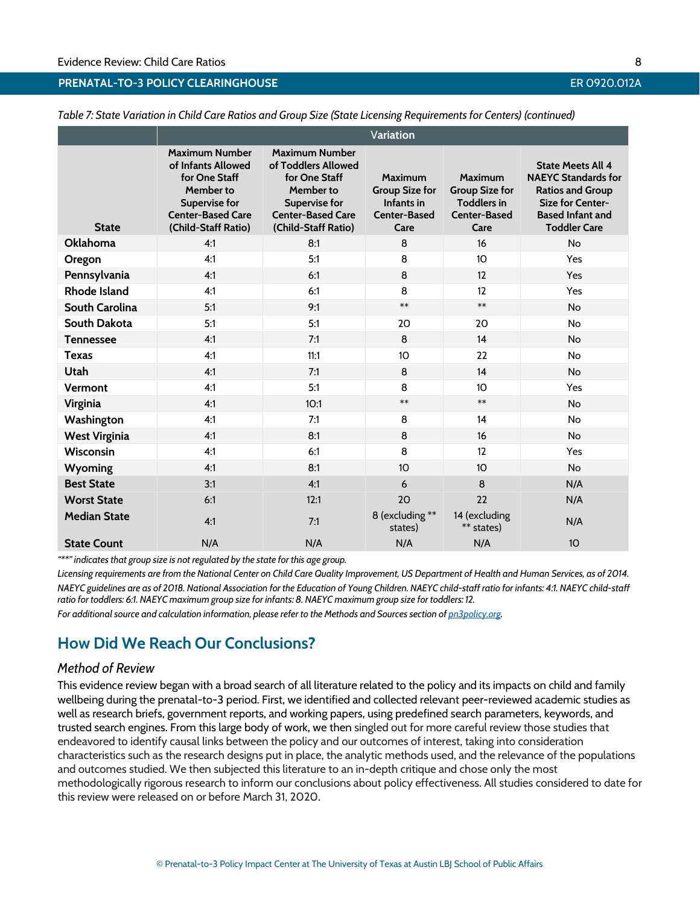*Table 7: State Variation in Child Care Ratios and Group Size (State Licensing Requirements for Centers) (continued)* V**ariation**

|                      | vanation                                                                                                                                      |                                                                                                                                                |                                                                               |                                                                                              |                                                                                                                                                         |  |
|----------------------|-----------------------------------------------------------------------------------------------------------------------------------------------|------------------------------------------------------------------------------------------------------------------------------------------------|-------------------------------------------------------------------------------|----------------------------------------------------------------------------------------------|---------------------------------------------------------------------------------------------------------------------------------------------------------|--|
| <b>State</b>         | <b>Maximum Number</b><br>of Infants Allowed<br>for One Staff<br>Member to<br>Supervise for<br><b>Center-Based Care</b><br>(Child-Staff Ratio) | <b>Maximum Number</b><br>of Toddlers Allowed<br>for One Staff<br>Member to<br>Supervise for<br><b>Center-Based Care</b><br>(Child-Staff Ratio) | Maximum<br><b>Group Size for</b><br>Infants in<br><b>Center-Based</b><br>Care | <b>Maximum</b><br><b>Group Size for</b><br><b>Toddlers in</b><br><b>Center-Based</b><br>Care | <b>State Meets All 4</b><br><b>NAEYC Standards for</b><br><b>Ratios and Group</b><br>Size for Center-<br><b>Based Infant and</b><br><b>Toddler Care</b> |  |
| Oklahoma             | 4:1                                                                                                                                           | 8:1                                                                                                                                            | 8                                                                             | 16                                                                                           | <b>No</b>                                                                                                                                               |  |
| Oregon               | 4:1                                                                                                                                           | 5:1                                                                                                                                            | 8                                                                             | 10 <sup>°</sup>                                                                              | Yes                                                                                                                                                     |  |
| Pennsylvania         | 4:1                                                                                                                                           | 6:1                                                                                                                                            | 8                                                                             | 12                                                                                           | Yes                                                                                                                                                     |  |
| <b>Rhode Island</b>  | 4:1                                                                                                                                           | 6:1                                                                                                                                            | 8                                                                             | 12                                                                                           | Yes                                                                                                                                                     |  |
| South Carolina       | 5:1                                                                                                                                           | 9:1                                                                                                                                            | $**$                                                                          | $**$                                                                                         | No                                                                                                                                                      |  |
| South Dakota         | 5:1                                                                                                                                           | 5:1                                                                                                                                            | 20                                                                            | 20                                                                                           | No                                                                                                                                                      |  |
| <b>Tennessee</b>     | 4:1                                                                                                                                           | 7:1                                                                                                                                            | 8                                                                             | 14                                                                                           | <b>No</b>                                                                                                                                               |  |
| <b>Texas</b>         | 4:1                                                                                                                                           | 11:1                                                                                                                                           | 10                                                                            | 22                                                                                           | No                                                                                                                                                      |  |
| Utah                 | 4:1                                                                                                                                           | 7:1                                                                                                                                            | 8                                                                             | 14                                                                                           | <b>No</b>                                                                                                                                               |  |
| Vermont              | 4:1                                                                                                                                           | 5:1                                                                                                                                            | 8                                                                             | 10 <sup>10</sup>                                                                             | Yes                                                                                                                                                     |  |
| Virginia             | 4:1                                                                                                                                           | 10:1                                                                                                                                           | $**$                                                                          | $\ast\ast$                                                                                   | <b>No</b>                                                                                                                                               |  |
| Washington           | 4:1                                                                                                                                           | 7:1                                                                                                                                            | 8                                                                             | 14                                                                                           | No                                                                                                                                                      |  |
| <b>West Virginia</b> | 4:1                                                                                                                                           | 8:1                                                                                                                                            | 8                                                                             | 16                                                                                           | <b>No</b>                                                                                                                                               |  |
| <b>Wisconsin</b>     | 4:1                                                                                                                                           | 6:1                                                                                                                                            | 8                                                                             | 12                                                                                           | Yes                                                                                                                                                     |  |
| Wyoming              | 4:1                                                                                                                                           | 8:1                                                                                                                                            | 10                                                                            | 10 <sup>10</sup>                                                                             | <b>No</b>                                                                                                                                               |  |
| <b>Best State</b>    | 3:1                                                                                                                                           | 4:1                                                                                                                                            | 6                                                                             | 8                                                                                            | N/A                                                                                                                                                     |  |
| <b>Worst State</b>   | 6:1                                                                                                                                           | 12:1                                                                                                                                           | 20                                                                            | 22                                                                                           | N/A                                                                                                                                                     |  |
| <b>Median State</b>  | 4:1                                                                                                                                           | 7:1                                                                                                                                            | 8 (excluding **<br>states)                                                    | 14 (excluding<br>** states)                                                                  | N/A                                                                                                                                                     |  |
| <b>State Count</b>   | N/A                                                                                                                                           | N/A                                                                                                                                            | N/A                                                                           | N/A                                                                                          | 10                                                                                                                                                      |  |

*"\*\*" indicates that group size is not regulated by the state for this age group.*

*Licensing requirements are from the National Center on Child Care Quality Improvement, US Department of Health and Human Services, as of 2014. NAEYC guidelines are as of 2018. National Association for the Education of Young Children. NAEYC child-staff ratio for infants: 4:1. NAEYC child-staff ratio for toddlers: 6:1. NAEYC maximum group size for infants: 8. NAEYC maximum group size for toddlers: 12.*

*For additional source and calculation information, please refer to the Methods and Sources section o[f pn3policy.org.](http://pn3policy.org/)*

### **How Did We Reach Our Conclusions?**

### *Method of Review*

This evidence review began with a broad search of all literature related to the policy and its impacts on child and family wellbeing during the prenatal-to-3 period. First, we identified and collected relevant peer-reviewed academic studies as well as research briefs, government reports, and working papers, using predefined search parameters, keywords, and trusted search engines. From this large body of work, we then singled out for more careful review those studies that endeavored to identify causal links between the policy and our outcomes of interest, taking into consideration characteristics such as the research designs put in place, the analytic methods used, and the relevance of the populations and outcomes studied. We then subjected this literature to an in-depth critique and chose only the most methodologically rigorous research to inform our conclusions about policy effectiveness. All studies considered to date for this review were released on or before March 31, 2020.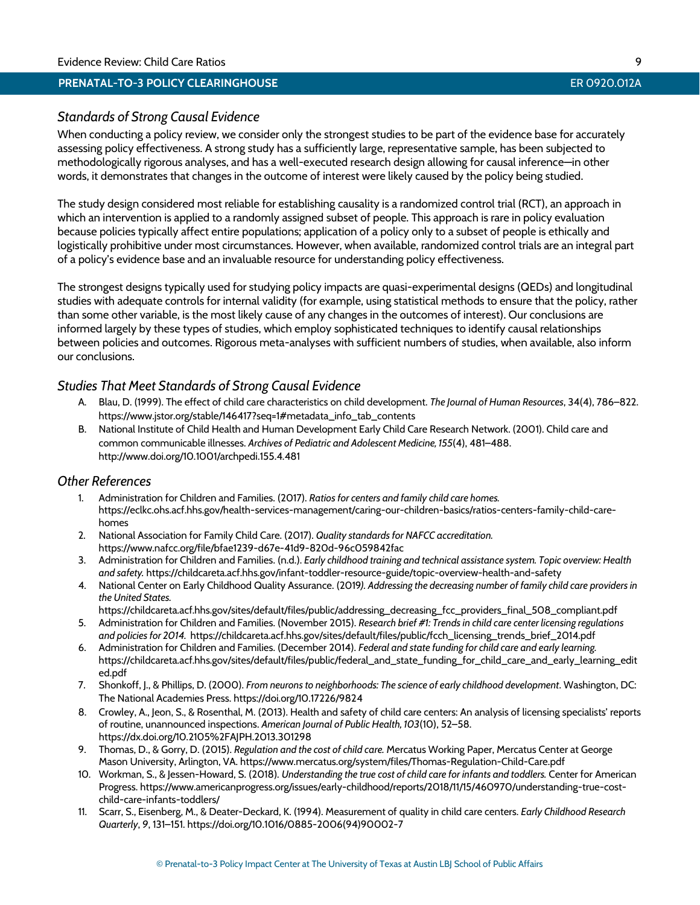### *Standards of Strong Causal Evidence*

When conducting a policy review, we consider only the strongest studies to be part of the evidence base for accurately assessing policy effectiveness. A strong study has a sufficiently large, representative sample, has been subjected to methodologically rigorous analyses, and has a well-executed research design allowing for causal inference—in other words, it demonstrates that changes in the outcome of interest were likely caused by the policy being studied.

The study design considered most reliable for establishing causality is a randomized control trial (RCT), an approach in which an intervention is applied to a randomly assigned subset of people. This approach is rare in policy evaluation because policies typically affect entire populations; application of a policy only to a subset of people is ethically and logistically prohibitive under most circumstances. However, when available, randomized control trials are an integral part of a policy's evidence base and an invaluable resource for understanding policy effectiveness.

The strongest designs typically used for studying policy impacts are quasi-experimental designs (QEDs) and longitudinal studies with adequate controls for internal validity (for example, using statistical methods to ensure that the policy, rather than some other variable, is the most likely cause of any changes in the outcomes of interest). Our conclusions are informed largely by these types of studies, which employ sophisticated techniques to identify causal relationships between policies and outcomes. Rigorous meta-analyses with sufficient numbers of studies, when available, also inform our conclusions.

### <span id="page-9-11"></span>*Studies That Meet Standards of Strong Causal Evidence*

- A. Blau, D. (1999). The effect of child care characteristics on child development. *The Journal of Human Resources*, 34(4), 786–822. [https://www.jstor.org/stable/146417?seq=1#metadata\\_info\\_tab\\_contents](https://www.jstor.org/stable/146417?seq=1%23metadata_info_tab_contents)
- <span id="page-9-12"></span>B. National Institute of Child Health and Human Development Early Child Care Research Network. (2001). Child care and common communicable illnesses. *Archives of Pediatric and Adolescent Medicine, 155*(4), 481–488. <http://www.doi.org/10.1001/archpedi.155.4.481>

### <span id="page-9-0"></span>*Other References*

- 1. Administration for Children and Families. (2017). *Ratios for centers and family child care homes.* [https://eclkc.ohs.acf.hhs.gov/health-services-management/caring-our-children-basics/ratios-centers-family-child-care](https://eclkc.ohs.acf.hhs.gov/health-services-management/caring-our-children-basics/ratios-centers-family-child-care-homes)[homes](https://eclkc.ohs.acf.hhs.gov/health-services-management/caring-our-children-basics/ratios-centers-family-child-care-homes)
- <span id="page-9-1"></span>2. National Association for Family Child Care. (2017). *Quality standards for NAFCC accreditation.* https://www.nafcc.org/file/bfae1239-d67e-41d9-820d-96c059842fac
- <span id="page-9-2"></span>3. Administration for Children and Families. (n.d.). *Early childhood training and technical assistance system. Topic overview: Health and safety.* https://childcareta.acf.hhs.gov/infant-toddler-resource-guide/topic-overview-health-and-safety
- <span id="page-9-3"></span>4. National Center on Early Childhood Quality Assurance. (2019*). Addressing the decreasing number of family child care providers in the United States.*
	- [https://childcareta.acf.hhs.gov/sites/default/files/public/addressing\\_decreasing\\_fcc\\_providers\\_final\\_508\\_compliant.pdf](https://childcareta.acf.hhs.gov/sites/default/files/public/addressing_decreasing_fcc_providers_final_508_compliant.pdf)
- <span id="page-9-4"></span>5. Administration for Children and Families. (November 2015). *Research brief #1: Trends in child care center licensing regulations and policies for 2014.* [https://childcareta.acf.hhs.gov/sites/default/files/public/fcch\\_licensing\\_trends\\_brief\\_2014.pdf](https://childcareta.acf.hhs.gov/sites/default/files/public/fcch_licensing_trends_brief_2014.pdf)
- <span id="page-9-5"></span>6. Administration for Children and Families. (December 2014). *Federal and state funding for child care and early learning.* https://childcareta.acf.hhs.gov/sites/default/files/public/federal\_and\_state\_funding\_for\_child\_care\_and\_early\_learning\_edit ed.pdf
- <span id="page-9-6"></span>7. Shonkoff, J., & Phillips, D. (2000). *From neurons to neighborhoods: The science of early childhood development*. Washington, DC: The National Academies Press. https://doi.org/10.17226/9824
- <span id="page-9-7"></span>8. Crowley, A., Jeon, S., & Rosenthal, M. (2013). Health and safety of child care centers: An analysis of licensing specialists' reports of routine, unannounced inspections. *American Journal of Public Health, 103*(10), 52–58. https://dx.doi.org/10.2105%2FAJPH.2013.301298
- <span id="page-9-8"></span>9. Thomas, D., & Gorry, D. (2015). *Regulation and the cost of child care.* Mercatus Working Paper, Mercatus Center at George Mason University, Arlington, VA[. https://www.mercatus.org/system/files/Thomas-Regulation-Child-Care.pdf](https://www.mercatus.org/system/files/Thomas-Regulation-Child-Care.pdf)
- <span id="page-9-9"></span>10. Workman, S., & Jessen-Howard, S. (2018). *Understanding the true cost of child care for infants and toddlers.* Center for American Progress[. https://www.americanprogress.org/issues/early-childhood/reports/2018/11/15/460970/understanding-true-cost](https://www.americanprogress.org/issues/early-childhood/reports/2018/11/15/460970/understanding-true-cost-child-care-infants-toddlers/)[child-care-infants-toddlers/](https://www.americanprogress.org/issues/early-childhood/reports/2018/11/15/460970/understanding-true-cost-child-care-infants-toddlers/)
- <span id="page-9-10"></span>11. Scarr, S., Eisenberg, M., & Deater-Deckard, K. (1994). Measurement of quality in child care centers. *Early Childhood Research Quarterly*, *9*, 131–151. https://doi.org/10.1016/0885-2006(94)90002-7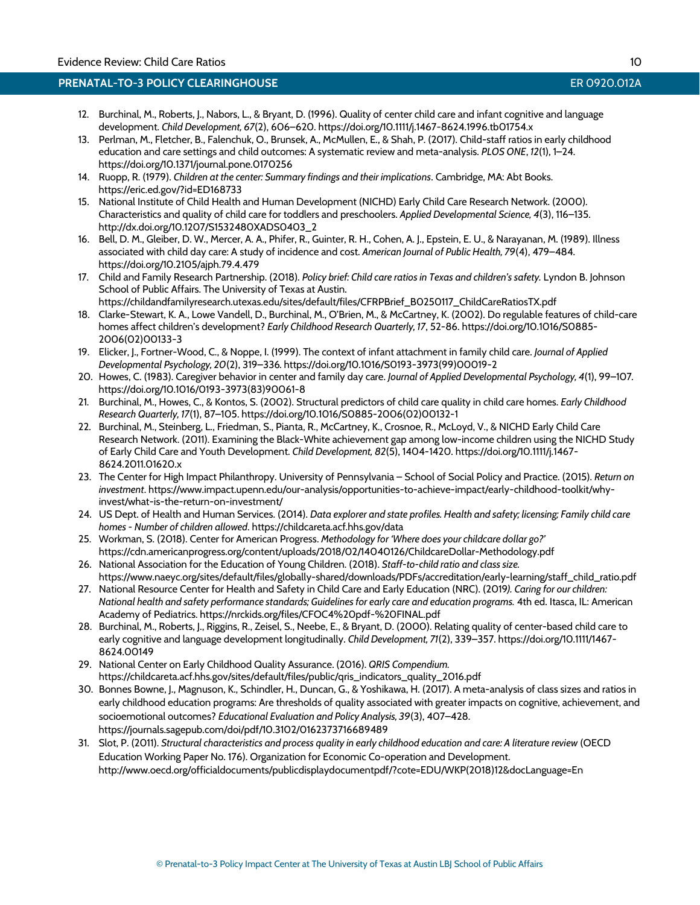- <span id="page-10-3"></span>12. Burchinal, M., Roberts, J., Nabors, L., & Bryant, D. (1996). Quality of center child care and infant cognitive and language development. *Child Development, 67*(2), 606–620. https://doi.org/10.1111/j.1467-8624.1996.tb01754.x
- <span id="page-10-4"></span>13. Perlman, M., Fletcher, B., Falenchuk, O., Brunsek, A., McMullen, E., & Shah, P. (2017). Child-staff ratios in early childhood education and care settings and child outcomes: A systematic review and meta-analysis. *PLOS ONE*, *12*(1), 1–24. https://doi.org/10.1371/journal.pone.0170256
- <span id="page-10-6"></span>14. Ruopp, R. (1979). *Children at the center: Summary findings and their implications*. Cambridge, MA: Abt Books. https://eric.ed.gov/?id=ED168733
- <span id="page-10-9"></span>15. National Institute of Child Health and Human Development (NICHD) Early Child Care Research Network. (2000). Characteristics and quality of child care for toddlers and preschoolers. *Applied Developmental Science, 4*(3), 116–135. [http://dx.doi.org/10.1207/S1532480XADS0403\\_2](http://dx.doi.org/10.1207/S1532480XADS0403_2)
- <span id="page-10-10"></span>16. Bell, D. M., Gleiber, D. W., Mercer, A. A., Phifer, R., Guinter, R. H., Cohen, A. J., Epstein, E. U., & Narayanan, M. (1989). Illness associated with child day care: A study of incidence and cost. *American Journal of Public Health, 79*(4), 479–484. https://doi.org/10.2105/ajph.79.4.479
- <span id="page-10-11"></span>17. Child and Family Research Partnership. (2018). *Policy brief: Child care ratios in Texas and children's safety.* Lyndon B. Johnson School of Public Affairs. The University of Texas at Austin. https://childandfamilyresearch.utexas.edu/sites/default/files/CFRPBrief\_B0250117\_ChildCareRatiosTX.pdf
- <span id="page-10-12"></span>18. Clarke-Stewart, K. A., Lowe Vandell, D., Burchinal, M., O'Brien, M., & McCartney, K. (2002). Do regulable features of child-care homes affect children's development? *Early Childhood Research Quarterly, 17*, 52-86. https://doi.org/10.1016/S0885- 2006(02)00133-3
- <span id="page-10-13"></span>19. Elicker, J., Fortner-Wood, C., & Noppe, I. (1999). The context of infant attachment in family child care. *Journal of Applied Developmental Psychology, 20*(2), 319–336*.* https://doi.org/10.1016/S0193-3973(99)00019-2
- 20. Howes, C. (1983). Caregiver behavior in center and family day care. *Journal of Applied Developmental Psychology, 4*(1), 99–107*.* https://doi.org/10.1016/0193-3973(83)90061-8
- <span id="page-10-14"></span>21. Burchinal, M., Howes, C., & Kontos, S. (2002). Structural predictors of child care quality in child care homes. *Early Childhood Research Quarterly, 17*(1), 87–105. https://doi.org/10.1016/S0885-2006(02)00132-1
- <span id="page-10-15"></span>22. Burchinal, M., Steinberg, L., Friedman, S., Pianta, R., McCartney, K., Crosnoe, R., McLoyd, V., & NICHD Early Child Care Research Network. (2011). Examining the Black-White achievement gap among low-income children using the NICHD Study of Early Child Care and Youth Development. *Child Development, 82*(5), 1404-1420. https://doi.org/10.1111/j.1467- 8624.2011.01620.x
- <span id="page-10-16"></span>23. The Center for High Impact Philanthropy. University of Pennsylvania – School of Social Policy and Practice. (2015). *Return on investment*. https://www.impact.upenn.edu/our-analysis/opportunities-to-achieve-impact/early-childhood-toolkit/whyinvest/what-is-the-return-on-investment/
- <span id="page-10-17"></span>24. US Dept. of Health and Human Services. (2014). *Data explorer and state profiles. Health and safety; licensing; Family child care homes - Number of children allowed*. https://childcareta.acf.hhs.gov/data
- <span id="page-10-18"></span>25. Workman, S. (2018). Center for American Progress. *Methodology for 'Where does your childcare dollar go?'* <https://cdn.americanprogress.org/content/uploads/2018/02/14040126/ChildcareDollar-Methodology.pdf>
- <span id="page-10-0"></span>26. National Association for the Education of Young Children. (2018). *Staff-to-child ratio and class size.* https://www.naeyc.org/sites/default/files/globally-shared/downloads/PDFs/accreditation/early-learning/staff\_child\_ratio.pdf
- <span id="page-10-1"></span>27. National Resource Center for Health and Safety in Child Care and Early Education (NRC). (2019*). Caring for our children: National health and safety performance standards; Guidelines for early care and education programs.* 4th ed. Itasca, IL: American Academy of Pediatrics. https://nrckids.org/files/CFOC4%20pdf-%20FINAL.pdf
- <span id="page-10-8"></span>28. Burchinal, M., Roberts, J., Riggins, R., Zeisel, S., Neebe, E., & Bryant, D. (2000). Relating quality of center-based child care to early cognitive and language development longitudinally. *Child Development, 71*(2), 339–357. https://doi.org/10.1111/1467- 8624.00149
- <span id="page-10-2"></span>29. National Center on Early Childhood Quality Assurance. (2016). *QRIS Compendium.* https://childcareta.acf.hhs.gov/sites/default/files/public/qris\_indicators\_quality\_2016.pdf
- <span id="page-10-5"></span>30. Bonnes Bowne, J., Magnuson, K., Schindler, H., Duncan, G., & Yoshikawa, H. (2017). A meta-analysis of class sizes and ratios in early childhood education programs: Are thresholds of quality associated with greater impacts on cognitive, achievement, and socioemotional outcomes? *Educational Evaluation and Policy Analysis, 39*(3), 407–428. <https://journals.sagepub.com/doi/pdf/10.3102/0162373716689489>
- <span id="page-10-7"></span>31. Slot, P. (2011). *Structural characteristics and process quality in early childhood education and care: A literature review* (OECD Education Working Paper No. 176). Organization for Economic Co-operation and Development. [http://www.oecd.org/officialdocuments/publicdisplaydocumentpdf/?cote=EDU/WKP\(2018\)12&docLanguage=En](http://www.oecd.org/officialdocuments/publicdisplaydocumentpdf/?cote=EDU/WKP(2018)12&docLanguage=En)

#### © Prenatal-to-3 Policy Impact Center at The University of Texas at Austin LBJ School of Public Affairs